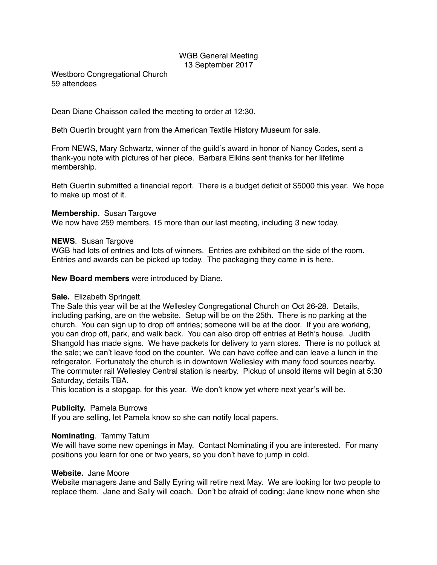# WGB General Meeting 13 September 2017

Westboro Congregational Church 59 attendees

Dean Diane Chaisson called the meeting to order at 12:30.

Beth Guertin brought yarn from the American Textile History Museum for sale.

From NEWS, Mary Schwartz, winner of the guild's award in honor of Nancy Codes, sent a thank-you note with pictures of her piece. Barbara Elkins sent thanks for her lifetime membership.

Beth Guertin submitted a financial report. There is a budget deficit of \$5000 this year. We hope to make up most of it.

#### **Membership.** Susan Targove

We now have 259 members, 15 more than our last meeting, including 3 new today.

#### **NEWS**. Susan Targove

WGB had lots of entries and lots of winners. Entries are exhibited on the side of the room. Entries and awards can be picked up today. The packaging they came in is here.

**New Board members** were introduced by Diane.

### **Sale.** Elizabeth Springett.

The Sale this year will be at the Wellesley Congregational Church on Oct 26-28. Details, including parking, are on the website. Setup will be on the 25th. There is no parking at the church. You can sign up to drop off entries; someone will be at the door. If you are working, you can drop off, park, and walk back. You can also drop off entries at Beth's house. Judith Shangold has made signs. We have packets for delivery to yarn stores. There is no potluck at the sale; we can't leave food on the counter. We can have coffee and can leave a lunch in the refrigerator. Fortunately the church is in downtown Wellesley with many food sources nearby. The commuter rail Wellesley Central station is nearby. Pickup of unsold items will begin at 5:30 Saturday, details TBA.

This location is a stopgap, for this year. We don't know yet where next year's will be.

### **Publicity.** Pamela Burrows

If you are selling, let Pamela know so she can notify local papers.

### **Nominating**. Tammy Tatum

We will have some new openings in May. Contact Nominating if you are interested. For many positions you learn for one or two years, so you don't have to jump in cold.

### **Website.** Jane Moore

Website managers Jane and Sally Eyring will retire next May. We are looking for two people to replace them. Jane and Sally will coach. Don't be afraid of coding; Jane knew none when she